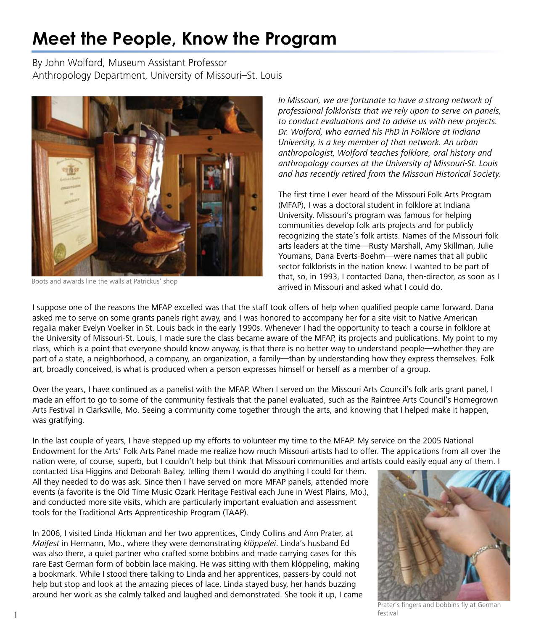# **Meet the People, Know the Program**

By John Wolford, Museum Assistant Professor Anthropology Department, University of Missouri–St. Louis



Boots and awards line the walls at Patrickus' shop

In Missouri, we are fortunate to have a strong network of professional folklorists that we rely upon to serve on panels, to conduct evaluations and to advise us with new projects. Dr. Wolford, who earned his PhD in Folklore at Indiana University, is a key member of that network. An urban anthropologist, Wolford teaches folklore, oral history and anthropology courses at the University of Missouri-St. Louis and has recently retired from the Missouri Historical Society.

The first time I ever heard of the Missouri Folk Arts Program (MFAP), I was a doctoral student in folklore at Indiana University. Missouri's program was famous for helping communities develop folk arts projects and for publicly recognizing the state's folk artists. Names of the Missouri folk arts leaders at the time—Rusty Marshall, Amy Skillman, Julie Youmans, Dana Everts-Boehm—were names that all public sector folklorists in the nation knew. I wanted to be part of that, so, in 1993, I contacted Dana, then-director, as soon as I arrived in Missouri and asked what I could do.

I suppose one of the reasons the MFAP excelled was that the staff took offers of help when qualified people came forward. Dana asked me to serve on some grants panels right away, and I was honored to accompany her for a site visit to Native American regalia maker Evelyn Voelker in St. Louis back in the early 1990s. Whenever I had the opportunity to teach a course in folklore at the University of Missouri-St. Louis, I made sure the class became aware of the MFAP, its projects and publications. My point to my class, which is a point that everyone should know anyway, is that there is no better way to understand people—whether they are part of a state, a neighborhood, a company, an organization, a family—than by understanding how they express themselves. Folk art, broadly conceived, is what is produced when a person expresses himself or herself as a member of a group.

Over the years, I have continued as a panelist with the MFAP. When I served on the Missouri Arts Council's folk arts grant panel, I made an effort to go to some of the community festivals that the panel evaluated, such as the Raintree Arts Council's Homegrown Arts Festival in Clarksville, Mo. Seeing a community come together through the arts, and knowing that I helped make it happen, was gratifying.

In the last couple of years, I have stepped up my efforts to volunteer my time to the MFAP. My service on the 2005 National Endowment for the Arts' Folk Arts Panel made me realize how much Missouri artists had to offer. The applications from all over the nation were, of course, superb, but I couldn't help but think that Missouri communities and artists could easily equal any of them. I

contacted Lisa Higgins and Deborah Bailey, telling them I would do anything I could for them. All they needed to do was ask. Since then I have served on more MFAP panels, attended more events (a favorite is the Old Time Music Ozark Heritage Festival each June in West Plains, Mo.), and conducted more site visits, which are particularly important evaluation and assessment tools for the Traditional Arts Apprenticeship Program (TAAP).

In 2006, I visited Linda Hickman and her two apprentices, Cindy Collins and Ann Prater, at Maifest in Hermann, Mo., where they were demonstrating klöppelei. Linda's husband Ed was also there, a quiet partner who crafted some bobbins and made carrying cases for this rare East German form of bobbin lace making. He was sitting with them klöppeling, making a bookmark. While I stood there talking to Linda and her apprentices, passers-by could not help but stop and look at the amazing pieces of lace. Linda stayed busy, her hands buzzing around her work as she calmly talked and laughed and demonstrated. She took it up, I came



Prater's fingers and bobbins fly at German **1 1**